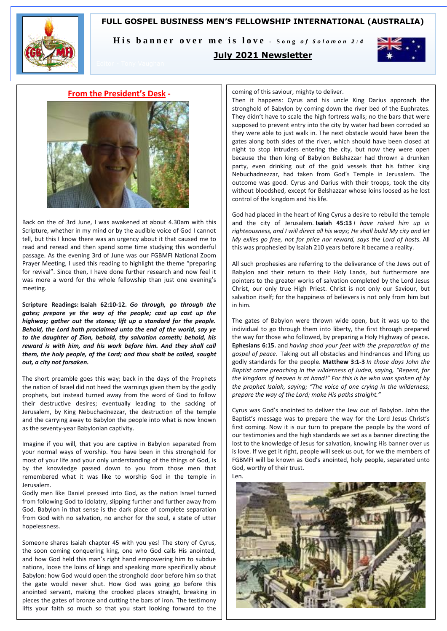# **FULL GOSPEL BUSINESS MEN'S FELLOWSHIP INTERNATIONAL (AUSTRALIA)**



His banner over me is love - Song of Solomon 2:4

# **July 2021 Newsletter**



### **From the President's Desk -**



Back on the of 3rd June, I was awakened at about 4.30am with this Scripture, whether in my mind or by the audible voice of God I cannot tell, but this I know there was an urgency about it that caused me to read and reread and then spend some time studying this wonderful passage. As the evening 3rd of June was our FGBMFI National Zoom Prayer Meeting, I used this reading to highlight the theme "preparing for revival". Since then, I have done further research and now feel it was more a word for the whole fellowship than just one evening's meeting.

**Scripture Readings: Isaiah 62:10-12.** *Go through, go through the gates; prepare ye the way of the people; cast up cast up the highway; gather out the stones; lift up a standard for the people. Behold, the Lord hath proclaimed unto the end of the world, say ye to the daughter of Zion, behold, thy salvation cometh; behold, his reward is with him, and his work before him. And they shall call them, the holy people, of the Lord; and thou shalt be called, sought out, a city not forsaken.*

The short preamble goes this way; back in the days of the Prophets the nation of Israel did not heed the warnings given them by the godly prophets, but instead turned away from the word of God to follow their destructive desires; eventually leading to the sacking of Jerusalem, by King Nebuchadnezzar, the destruction of the temple and the carrying away to Babylon the people into what is now known as the seventy-year Babylonian captivity.

Imagine if you will, that you are captive in Babylon separated from your normal ways of worship. You have been in this stronghold for most of your life and your only understanding of the things of God, is by the knowledge passed down to you from those men that remembered what it was like to worship God in the temple in Jerusalem.

Godly men like Daniel pressed into God, as the nation Israel turned from following God to idolatry, slipping further and further away from God. Babylon in that sense is the dark place of complete separation from God with no salvation, no anchor for the soul, a state of utter hopelessness.

Someone shares Isaiah chapter 45 with you yes! The story of Cyrus, the soon coming conquering king, one who God calls His anointed, and how God held this man's right hand empowering him to subdue nations, loose the loins of kings and speaking more specifically about Babylon: how God would open the stronghold door before him so that the gate would never shut. How God was going go before this anointed servant, making the crooked places straight, breaking in pieces the gates of bronze and cutting the bars of iron. The testimony lifts your faith so much so that you start looking forward to the coming of this saviour, mighty to deliver.

Then it happens: Cyrus and his uncle King Darius approach the stronghold of Babylon by coming down the river bed of the Euphrates. They didn't have to scale the high fortress walls; no the bars that were supposed to prevent entry into the city by water had been corroded so they were able to just walk in. The next obstacle would have been the gates along both sides of the river, which should have been closed at night to stop intruders entering the city, but now they were open because the then king of Babylon Belshazzar had thrown a drunken party, even drinking out of the gold vessels that his father king Nebuchadnezzar, had taken from God's Temple in Jerusalem. The outcome was good. Cyrus and Darius with their troops, took the city without bloodshed, except for Belshazzar whose loins loosed as he lost control of the kingdom and his life.

God had placed in the heart of King Cyrus a desire to rebuild the temple and the city of Jerusalem. **Isaiah 45:13** *I have raised him up in righteousness, and I will direct all his ways; He shall build My city and let My exiles go free, not for price nor reward, says the Lord of hosts.* All this was prophesied by Isaiah 210 years before it became a reality.

All such prophesies are referring to the deliverance of the Jews out of Babylon and their return to their Holy Lands, but furthermore are pointers to the greater works of salvation completed by the Lord Jesus Christ, our only true High Priest. Christ is not only our Saviour, but salvation itself; for the happiness of believers is not only from him but in him.

The gates of Babylon were thrown wide open, but it was up to the individual to go through them into liberty, the first through prepared the way for those who followed, by preparing a Holy Highway of peace**. Ephesians 6:15.** and *having shod your feet with the preparation of the gospel of peace.* Taking out all obstacles and hindrances and lifting up godly standards for the people. **Matthew 3:1-3** *In those days John the Baptist came preaching in the wilderness of Judea, saying, "Repent, for the kingdom of heaven is at hand!" For this is he who was spoken of by the prophet Isaiah, saying; "The voice of one crying in the wilderness; prepare the way of the Lord; make His paths straight."*

Cyrus was God's anointed to deliver the Jew out of Babylon. John the Baptist's message was to prepare the way for the Lord Jesus Christ's first coming. Now it is our turn to prepare the people by the word of our testimonies and the high standards we set as a banner directing the lost to the knowledge of Jesus for salvation, knowing His banner over us is love. If we get it right, people will seek us out, for we the members of FGBMFI will be known as God's anointed, holy people, separated unto God, worthy of their trust.

Len.

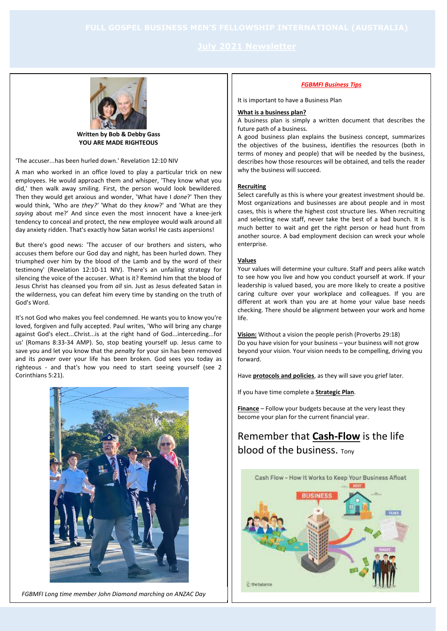

**Written by Bob & Debby Gass YOU ARE MADE RIGHTEOUS**

'The accuser...has been hurled down.' Revelation 12:10 NIV

A man who worked in an office loved to play a particular trick on new employees. He would approach them and whisper, 'They know what you did,' then walk away smiling. First, the person would look bewildered. Then they would get anxious and wonder, 'What have I *done*?' Then they would think, 'Who are *they?'* 'What do they *know*?' and 'What are they *saying* about me?' And since even the most innocent have a knee-jerk tendency to conceal and protect, the new employee would walk around all day anxiety ridden. That's exactly how Satan works! He casts aspersions!

But there's good news: 'The accuser of our brothers and sisters, who accuses them before our God day and night, has been hurled down. They triumphed over him by the blood of the Lamb and by the word of their testimony' (Revelation 12:10-11 NIV). There's an unfailing strategy for silencing the voice of the accuser. What is it? Remind him that the blood of Jesus Christ has cleansed you from *all* sin. Just as Jesus defeated Satan in the wilderness, you can defeat him every time by standing on the truth of God's Word.

It's not God who makes you feel condemned. He wants you to know you're loved, forgiven and fully accepted. Paul writes, 'Who will bring any charge against God's elect...Christ...is at the right hand of God...interceding...for us' (Romans 8:33-34 AMP). So, stop beating yourself up. Jesus came to save you and let you know that the *penalty* for your sin has been removed and its *power* over your life has been broken. God sees you today as righteous - and that's how you need to start seeing yourself (see 2 Corinthians 5:21).



*FGBMFI Long time member John Diamond marching on ANZAC Day*

### *FGBMFI Business Tips*

It is important to have a Business Plan

### **What is a business plan?**

A business plan is simply a written document that describes the future path of a business.

A good business plan explains the business concept, summarizes the objectives of the business, identifies the resources (both in terms of money and people) that will be needed by the business, describes how those resources will be obtained, and tells the reader why the business will succeed.

### **Recruiting**

Select carefully as this is where your greatest investment should be. Most organizations and businesses are about people and in most cases, this is where the highest cost structure lies. When recruiting and selecting new staff, never take the best of a bad bunch. It is much better to wait and get the right person or head hunt from another source. A bad employment decision can wreck your whole enterprise.

### **Values**

Your values will determine your culture. Staff and peers alike watch to see how you live and how you conduct yourself at work. If your leadership is valued based, you are more likely to create a positive caring culture over your workplace and colleagues. If you are different at work than you are at home your value base needs checking. There should be alignment between your work and home life.

**Vision:** Without a vision the people perish (Proverbs 29:18) Do you have vision for your business – your business will not grow beyond your vision. Your vision needs to be compelling, driving you forward.

Have **protocols and policies**, as they will save you grief later.

If you have time complete a **Strategic Plan**.

**Finance** – Follow your budgets because at the very least they become your plan for the current financial year.

# Remember that **Cash-Flow** is the life blood of the business. Tony

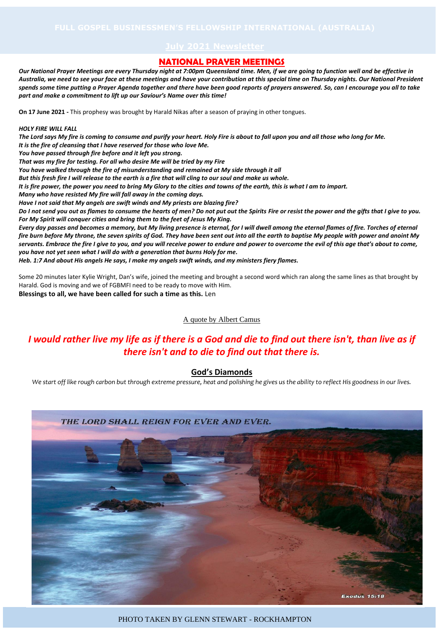### **NATIONAL PRAYER MEETINGS**

*Our National Prayer Meetings are every Thursday night at 7:00pm Queensland time. Men, if we are going to function well and be effective in Australia, we need to see your face at these meetings and have your contribution at this special time on Thursday nights. Our National President spends some time putting a Prayer Agenda together and there have been good reports of prayers answered. So, can I encourage you all to take part and make a commitment to lift up our Saviour's Name over this time!*

**On 17 June 2021 -** This prophesy was brought by Harald Nikas after a season of praying in other tongues.

### *HOLY FIRE WILL FALL*

*The Lord says My fire is coming to consume and purify your heart. Holy Fire is about to fall upon you and all those who long for Me. It is the fire of cleansing that I have reserved for those who love Me. You have passed through fire before and it left you strong. That was my fire for testing. For all who desire Me will be tried by my Fire You have walked through the fire of misunderstanding and remained at My side through it all But this fresh fire I will release to the earth is a fire that will cling to our soul and make us whole. It is fire power, the power you need to bring My Glory to the cities and towns of the earth, this is what I am to impart. Many who have resisted My fire will fall away in the coming days. Have I not said that My angels are swift winds and My priests are blazing fire? Do I not send you out as flames to consume the hearts of men? Do not put out the Spirits Fire or resist the power and the gifts that I give to you. For My Spirit will conquer cities and bring them to the feet of Jesus My King. Every day passes and becomes a memory, but My living presence is eternal, for I will dwell among the eternal flames of fire. Torches of eternal fire burn before My throne, the seven spirits of God. They have been sent out into all the earth to baptise My people with power and anoint My servants. Embrace the fire I give to you, and you will receive power to endure and power to overcome the evil of this age that's about to come, you have not yet seen what I will do with a generation that burns Holy for me.*

*Heb. 1:7 And about His angels He says, I make my angels swift winds, and my ministers fiery flames.*

Some 20 minutes later Kylie Wright, Dan's wife, joined the meeting and brought a second word which ran along the same lines as that brought by Harald. God is moving and we of FGBMFI need to be ready to move with Him. **Blessings to all, we have been called for such a time as this.** Len

# A quote by Albert Camus

# *I would rather live my life as if there is a God and die to find out there isn't, than live as if there isn't and to die to find out that there is.*

# **God's Diamonds**

*We start off like rough carbon but through extreme pressure, heat and polishing he gives us the ability to reflect His goodness in our lives.*



PHOTO TAKEN BY GLENN STEWART - ROCKHAMPTON